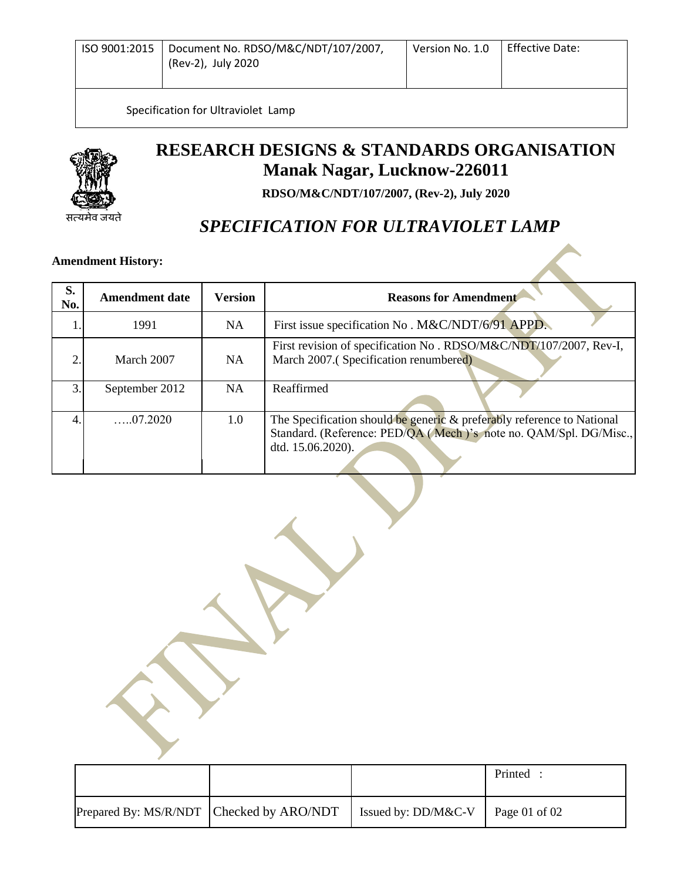| ISO 9001:2015   Document No. RDSO/M&C/NDT/107/2007, | Version No. 1.0 | <b>Effective Date:</b> |
|-----------------------------------------------------|-----------------|------------------------|
| (Rev-2), July 2020                                  |                 |                        |
|                                                     |                 |                        |

Specification for Ultraviolet Lamp



 $\overline{\phantom{a}}$ 

## **RESEARCH DESIGNS & STANDARDS ORGANISATION Manak Nagar, Lucknow-226011**

**RDSO/M&C/NDT/107/2007, (Rev-2), July 2020**

## *SPECIFICATION FOR ULTRAVIOLET LAMP*

# **Amendment History:**

| S.<br>No. | <b>Amendment date</b> | Version | <b>Reasons for Amendment</b>                                                                                                                                     |
|-----------|-----------------------|---------|------------------------------------------------------------------------------------------------------------------------------------------------------------------|
|           | 1991                  | NA.     | First issue specification No. M&C/NDT/6/91 APPD.                                                                                                                 |
| ↑         | March 2007            | NA      | First revision of specification No. RDSO/M&C/NDT/107/2007, Rev-I,<br>March 2007.(Specification renumbered)                                                       |
| 3         | September 2012        | NA      | Reaffirmed                                                                                                                                                       |
|           | $\dots 07.2020$       | 1.0     | The Specification should be generic & preferably reference to National<br>Standard. (Reference: PED/QA (Mech)'s note no. QAM/Spl. DG/Misc.,<br>dtd. 15.06.2020). |

 Printed : Prepared By: MS/R/NDT Checked by ARO/NDT | Issued by: DD/M&C-V | Page 01 of 02